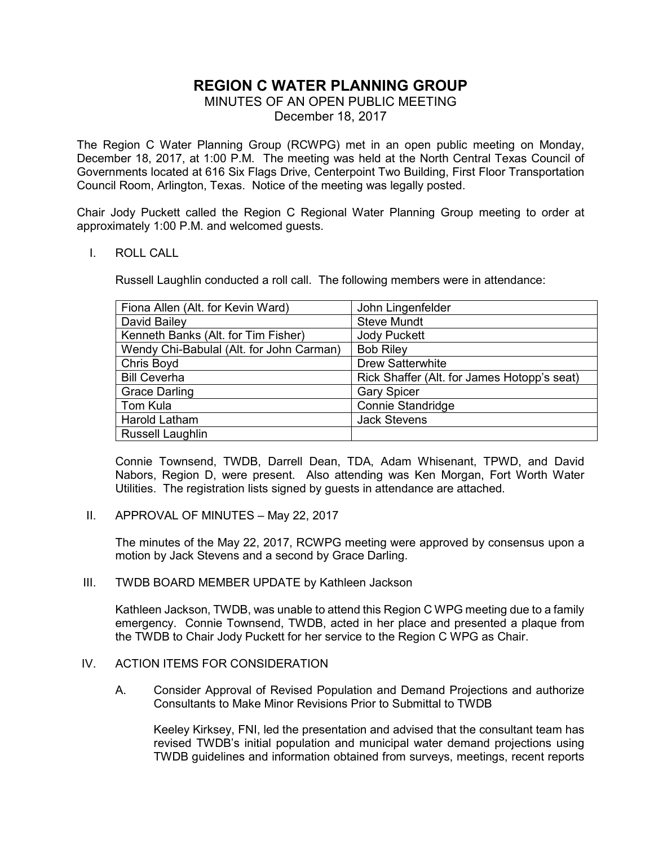# **REGION C WATER PLANNING GROUP**

MINUTES OF AN OPEN PUBLIC MEETING

December 18, 2017

The Region C Water Planning Group (RCWPG) met in an open public meeting on Monday, December 18, 2017, at 1:00 P.M. The meeting was held at the North Central Texas Council of Governments located at 616 Six Flags Drive, Centerpoint Two Building, First Floor Transportation Council Room, Arlington, Texas. Notice of the meeting was legally posted.

Chair Jody Puckett called the Region C Regional Water Planning Group meeting to order at approximately 1:00 P.M. and welcomed guests.

#### I. ROLL CALL

Russell Laughlin conducted a roll call. The following members were in attendance:

| Fiona Allen (Alt. for Kevin Ward)        | John Lingenfelder                           |
|------------------------------------------|---------------------------------------------|
| David Bailey                             | <b>Steve Mundt</b>                          |
| Kenneth Banks (Alt. for Tim Fisher)      | <b>Jody Puckett</b>                         |
| Wendy Chi-Babulal (Alt. for John Carman) | <b>Bob Riley</b>                            |
| Chris Boyd                               | <b>Drew Satterwhite</b>                     |
| <b>Bill Ceverha</b>                      | Rick Shaffer (Alt. for James Hotopp's seat) |
| <b>Grace Darling</b>                     | <b>Gary Spicer</b>                          |
| Tom Kula                                 | <b>Connie Standridge</b>                    |
| Harold Latham                            | <b>Jack Stevens</b>                         |
| <b>Russell Laughlin</b>                  |                                             |

Connie Townsend, TWDB, Darrell Dean, TDA, Adam Whisenant, TPWD, and David Nabors, Region D, were present. Also attending was Ken Morgan, Fort Worth Water Utilities. The registration lists signed by guests in attendance are attached.

II. APPROVAL OF MINUTES – May 22, 2017

The minutes of the May 22, 2017, RCWPG meeting were approved by consensus upon a motion by Jack Stevens and a second by Grace Darling.

III. TWDB BOARD MEMBER UPDATE by Kathleen Jackson

 Kathleen Jackson, TWDB, was unable to attend this Region C WPG meeting due to a family emergency. Connie Townsend, TWDB, acted in her place and presented a plaque from the TWDB to Chair Jody Puckett for her service to the Region C WPG as Chair.

#### IV. ACTION ITEMS FOR CONSIDERATION

A. Consider Approval of Revised Population and Demand Projections and authorize Consultants to Make Minor Revisions Prior to Submittal to TWDB

 Keeley Kirksey, FNI, led the presentation and advised that the consultant team has revised TWDB's initial population and municipal water demand projections using TWDB guidelines and information obtained from surveys, meetings, recent reports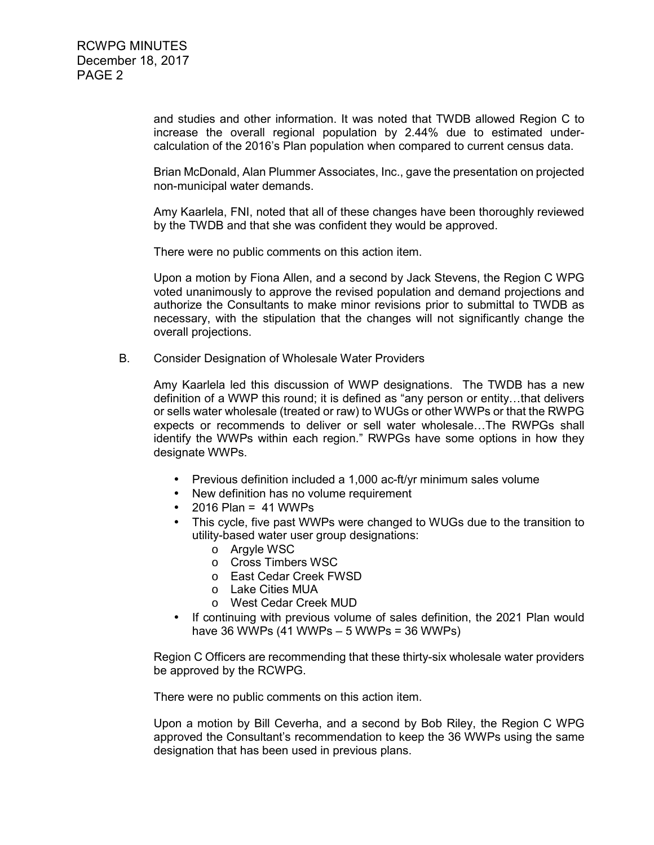and studies and other information. It was noted that TWDB allowed Region C to increase the overall regional population by 2.44% due to estimated undercalculation of the 2016's Plan population when compared to current census data.

 Brian McDonald, Alan Plummer Associates, Inc., gave the presentation on projected non-municipal water demands.

 Amy Kaarlela, FNI, noted that all of these changes have been thoroughly reviewed by the TWDB and that she was confident they would be approved.

There were no public comments on this action item.

 Upon a motion by Fiona Allen, and a second by Jack Stevens, the Region C WPG voted unanimously to approve the revised population and demand projections and authorize the Consultants to make minor revisions prior to submittal to TWDB as necessary, with the stipulation that the changes will not significantly change the overall projections.

B. Consider Designation of Wholesale Water Providers

 Amy Kaarlela led this discussion of WWP designations. The TWDB has a new definition of a WWP this round; it is defined as "any person or entity…that delivers or sells water wholesale (treated or raw) to WUGs or other WWPs or that the RWPG expects or recommends to deliver or sell water wholesale…The RWPGs shall identify the WWPs within each region." RWPGs have some options in how they designate WWPs.

- Previous definition included a 1,000 ac-ft/yr minimum sales volume
- New definition has no volume requirement
- $2016$  Plan = 41 WWPs
- This cycle, five past WWPs were changed to WUGs due to the transition to utility-based water user group designations:
	- o Argyle WSC
	- o Cross Timbers WSC
	- o East Cedar Creek FWSD
	- o Lake Cities MUA
	- o West Cedar Creek MUD
- If continuing with previous volume of sales definition, the 2021 Plan would have 36 WWPs (41 WWPs – 5 WWPs = 36 WWPs)

 Region C Officers are recommending that these thirty-six wholesale water providers be approved by the RCWPG.

There were no public comments on this action item.

 Upon a motion by Bill Ceverha, and a second by Bob Riley, the Region C WPG approved the Consultant's recommendation to keep the 36 WWPs using the same designation that has been used in previous plans.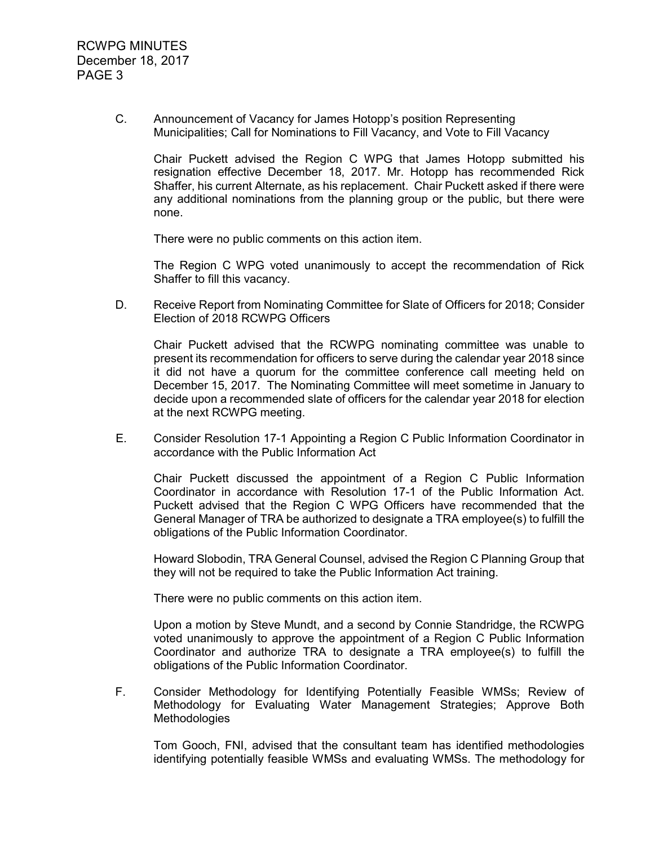C. Announcement of Vacancy for James Hotopp's position Representing Municipalities; Call for Nominations to Fill Vacancy, and Vote to Fill Vacancy

 Chair Puckett advised the Region C WPG that James Hotopp submitted his resignation effective December 18, 2017. Mr. Hotopp has recommended Rick Shaffer, his current Alternate, as his replacement. Chair Puckett asked if there were any additional nominations from the planning group or the public, but there were none.

There were no public comments on this action item.

 The Region C WPG voted unanimously to accept the recommendation of Rick Shaffer to fill this vacancy.

D. Receive Report from Nominating Committee for Slate of Officers for 2018; Consider Election of 2018 RCWPG Officers

 Chair Puckett advised that the RCWPG nominating committee was unable to present its recommendation for officers to serve during the calendar year 2018 since it did not have a quorum for the committee conference call meeting held on December 15, 2017. The Nominating Committee will meet sometime in January to decide upon a recommended slate of officers for the calendar year 2018 for election at the next RCWPG meeting.

 E. Consider Resolution 17-1 Appointing a Region C Public Information Coordinator in accordance with the Public Information Act

 Chair Puckett discussed the appointment of a Region C Public Information Coordinator in accordance with Resolution 17-1 of the Public Information Act. Puckett advised that the Region C WPG Officers have recommended that the General Manager of TRA be authorized to designate a TRA employee(s) to fulfill the obligations of the Public Information Coordinator.

 Howard Slobodin, TRA General Counsel, advised the Region C Planning Group that they will not be required to take the Public Information Act training.

There were no public comments on this action item.

 Upon a motion by Steve Mundt, and a second by Connie Standridge, the RCWPG voted unanimously to approve the appointment of a Region C Public Information Coordinator and authorize TRA to designate a TRA employee(s) to fulfill the obligations of the Public Information Coordinator.

F. Consider Methodology for Identifying Potentially Feasible WMSs; Review of Methodology for Evaluating Water Management Strategies; Approve Both **Methodologies** 

 Tom Gooch, FNI, advised that the consultant team has identified methodologies identifying potentially feasible WMSs and evaluating WMSs. The methodology for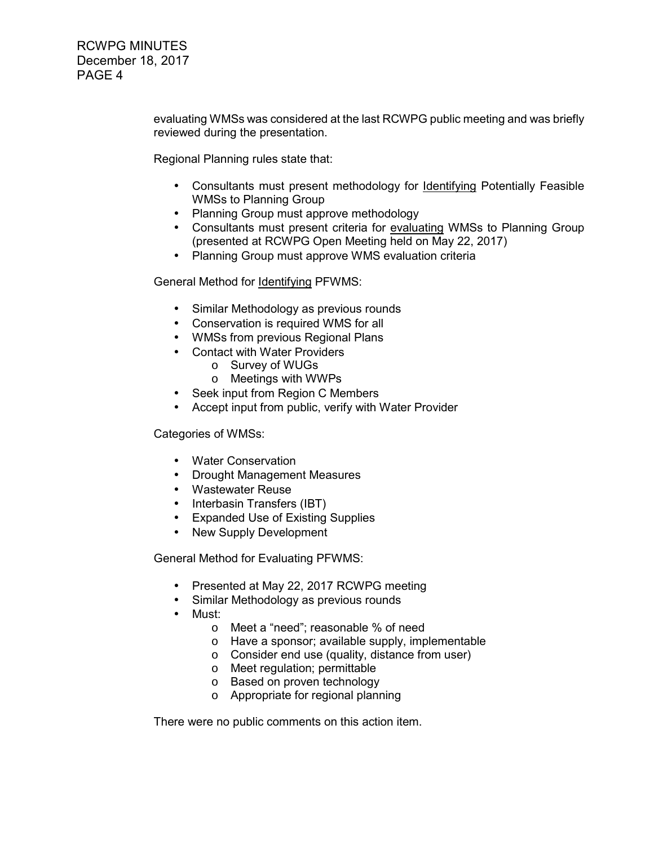> evaluating WMSs was considered at the last RCWPG public meeting and was briefly reviewed during the presentation.

Regional Planning rules state that:

- Consultants must present methodology for Identifying Potentially Feasible WMSs to Planning Group
- Planning Group must approve methodology
- Consultants must present criteria for evaluating WMSs to Planning Group (presented at RCWPG Open Meeting held on May 22, 2017)
- Planning Group must approve WMS evaluation criteria

General Method for Identifying PFWMS:

- Similar Methodology as previous rounds
- Conservation is required WMS for all
- WMSs from previous Regional Plans
- Contact with Water Providers
	- o Survey of WUGs
	- o Meetings with WWPs
- Seek input from Region C Members
- Accept input from public, verify with Water Provider

Categories of WMSs:

- Water Conservation
- Drought Management Measures
- Wastewater Reuse
- Interbasin Transfers (IBT)
- Expanded Use of Existing Supplies
- New Supply Development

General Method for Evaluating PFWMS:

- Presented at May 22, 2017 RCWPG meeting
- Similar Methodology as previous rounds
- Must:
	- o Meet a "need"; reasonable % of need
	- o Have a sponsor; available supply, implementable
	- o Consider end use (quality, distance from user)
	- o Meet regulation; permittable
	- o Based on proven technology
	- o Appropriate for regional planning

There were no public comments on this action item.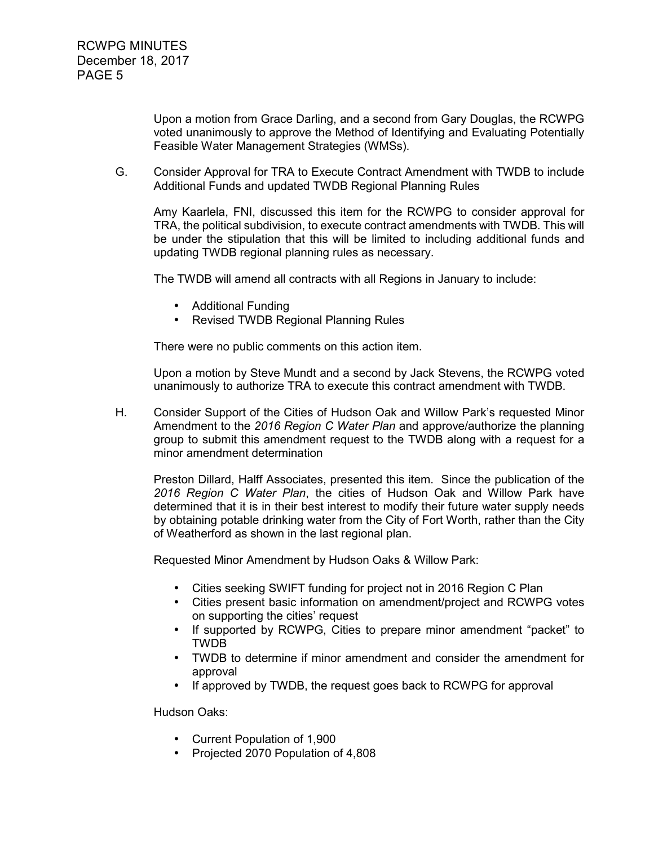Upon a motion from Grace Darling, and a second from Gary Douglas, the RCWPG voted unanimously to approve the Method of Identifying and Evaluating Potentially Feasible Water Management Strategies (WMSs).

G. Consider Approval for TRA to Execute Contract Amendment with TWDB to include Additional Funds and updated TWDB Regional Planning Rules

 Amy Kaarlela, FNI, discussed this item for the RCWPG to consider approval for TRA, the political subdivision, to execute contract amendments with TWDB. This will be under the stipulation that this will be limited to including additional funds and updating TWDB regional planning rules as necessary.

The TWDB will amend all contracts with all Regions in January to include:

- Additional Funding
- Revised TWDB Regional Planning Rules

There were no public comments on this action item.

 Upon a motion by Steve Mundt and a second by Jack Stevens, the RCWPG voted unanimously to authorize TRA to execute this contract amendment with TWDB.

H. Consider Support of the Cities of Hudson Oak and Willow Park's requested Minor Amendment to the *2016 Region C Water Plan* and approve/authorize the planning group to submit this amendment request to the TWDB along with a request for a minor amendment determination

 Preston Dillard, Halff Associates, presented this item. Since the publication of the *2016 Region C Water Plan*, the cities of Hudson Oak and Willow Park have determined that it is in their best interest to modify their future water supply needs by obtaining potable drinking water from the City of Fort Worth, rather than the City of Weatherford as shown in the last regional plan.

Requested Minor Amendment by Hudson Oaks & Willow Park:

- Cities seeking SWIFT funding for project not in 2016 Region C Plan
- Cities present basic information on amendment/project and RCWPG votes on supporting the cities' request
- If supported by RCWPG, Cities to prepare minor amendment "packet" to TWDB
- TWDB to determine if minor amendment and consider the amendment for approval
- If approved by TWDB, the request goes back to RCWPG for approval

Hudson Oaks:

- Current Population of 1,900
- Projected 2070 Population of 4,808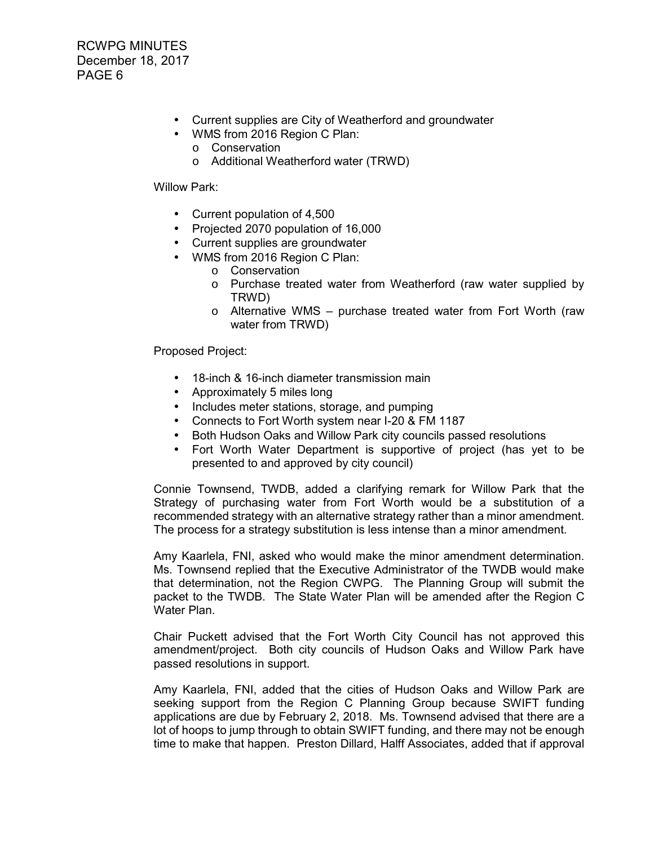- Current supplies are City of Weatherford and groundwater
- WMS from 2016 Region C Plan:
	- o Conservation
	- o Additional Weatherford water (TRWD)

#### Willow Park:

- Current population of 4,500
- Projected 2070 population of 16,000
- Current supplies are groundwater
- WMS from 2016 Region C Plan:
	- o Conservation
	- o Purchase treated water from Weatherford (raw water supplied by TRWD)
	- o Alternative WMS purchase treated water from Fort Worth (raw water from TRWD)

Proposed Project:

- 18-inch & 16-inch diameter transmission main
- Approximately 5 miles long
- Includes meter stations, storage, and pumping
- Connects to Fort Worth system near I-20 & FM 1187
- Both Hudson Oaks and Willow Park city councils passed resolutions
- Fort Worth Water Department is supportive of project (has yet to be presented to and approved by city council)

 Connie Townsend, TWDB, added a clarifying remark for Willow Park that the Strategy of purchasing water from Fort Worth would be a substitution of a recommended strategy with an alternative strategy rather than a minor amendment. The process for a strategy substitution is less intense than a minor amendment.

 Amy Kaarlela, FNI, asked who would make the minor amendment determination. Ms. Townsend replied that the Executive Administrator of the TWDB would make that determination, not the Region CWPG. The Planning Group will submit the packet to the TWDB. The State Water Plan will be amended after the Region C Water Plan.

 Chair Puckett advised that the Fort Worth City Council has not approved this amendment/project. Both city councils of Hudson Oaks and Willow Park have passed resolutions in support.

 Amy Kaarlela, FNI, added that the cities of Hudson Oaks and Willow Park are seeking support from the Region C Planning Group because SWIFT funding applications are due by February 2, 2018. Ms. Townsend advised that there are a lot of hoops to jump through to obtain SWIFT funding, and there may not be enough time to make that happen. Preston Dillard, Halff Associates, added that if approval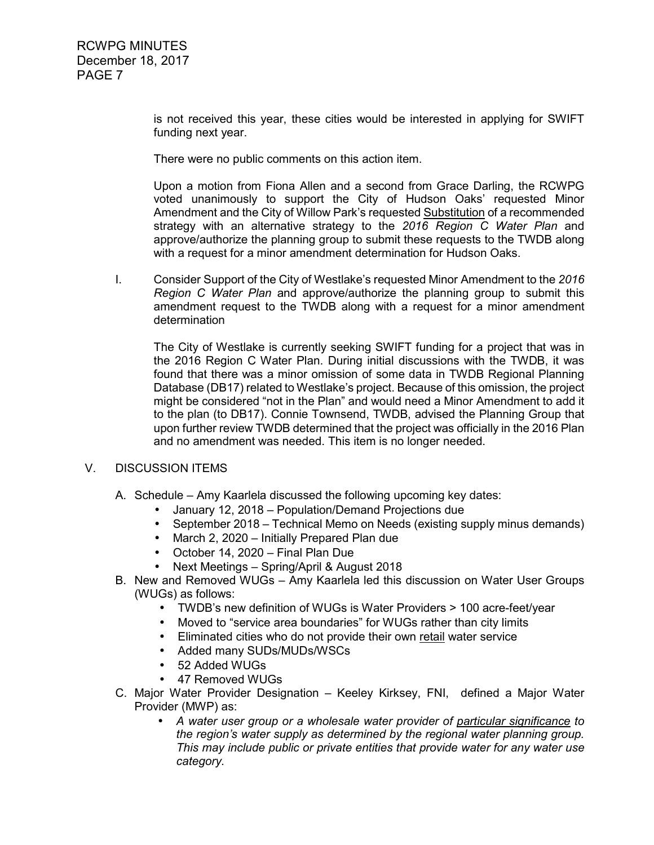is not received this year, these cities would be interested in applying for SWIFT funding next year.

There were no public comments on this action item.

Upon a motion from Fiona Allen and a second from Grace Darling, the RCWPG voted unanimously to support the City of Hudson Oaks' requested Minor Amendment and the City of Willow Park's requested Substitution of a recommended strategy with an alternative strategy to the *2016 Region C Water Plan* and approve/authorize the planning group to submit these requests to the TWDB along with a request for a minor amendment determination for Hudson Oaks.

I. Consider Support of the City of Westlake's requested Minor Amendment to the *2016 Region C Water Plan* and approve/authorize the planning group to submit this amendment request to the TWDB along with a request for a minor amendment determination

 The City of Westlake is currently seeking SWIFT funding for a project that was in the 2016 Region C Water Plan. During initial discussions with the TWDB, it was found that there was a minor omission of some data in TWDB Regional Planning Database (DB17) related to Westlake's project. Because of this omission, the project might be considered "not in the Plan" and would need a Minor Amendment to add it to the plan (to DB17). Connie Townsend, TWDB, advised the Planning Group that upon further review TWDB determined that the project was officially in the 2016 Plan and no amendment was needed. This item is no longer needed.

#### V. DISCUSSION ITEMS

- A. Schedule Amy Kaarlela discussed the following upcoming key dates:
	- January 12, 2018 Population/Demand Projections due
	- September 2018 Technical Memo on Needs (existing supply minus demands)
	- March 2, 2020 Initially Prepared Plan due
	- October 14, 2020 Final Plan Due
	- Next Meetings Spring/April & August 2018
- B. New and Removed WUGs Amy Kaarlela led this discussion on Water User Groups (WUGs) as follows:
	- TWDB's new definition of WUGs is Water Providers > 100 acre-feet/year
	- Moved to "service area boundaries" for WUGs rather than city limits
	- Eliminated cities who do not provide their own retail water service
	- Added many SUDs/MUDs/WSCs
	- 52 Added WUGs
	- 47 Removed WUGs
- C. Major Water Provider Designation Keeley Kirksey, FNI, defined a Major Water Provider (MWP) as:
	- *A water user group or a wholesale water provider of particular significance to the region's water supply as determined by the regional water planning group. This may include public or private entities that provide water for any water use category.*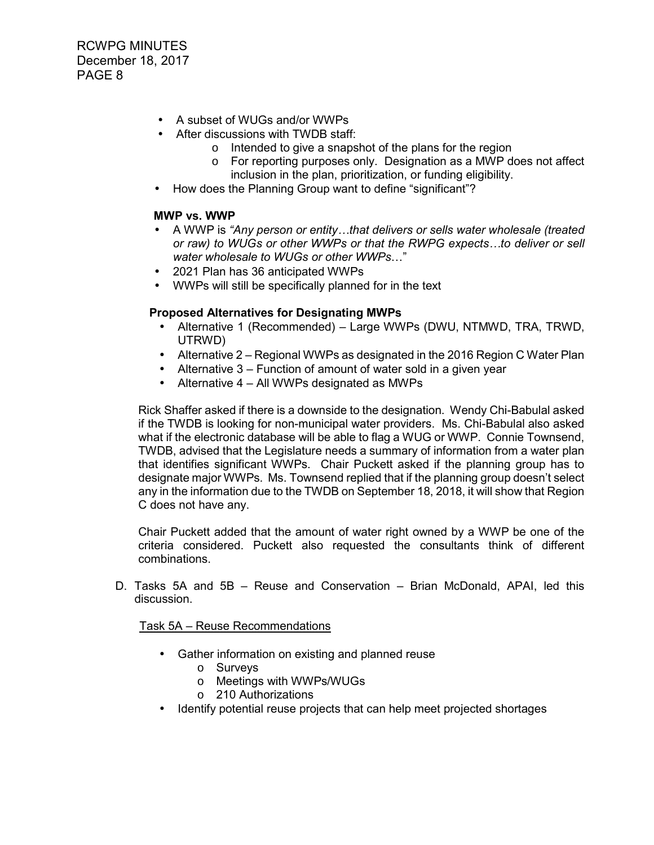- A subset of WUGs and/or WWPs
- After discussions with TWDB staff:
	- o Intended to give a snapshot of the plans for the region
	- o For reporting purposes only. Designation as a MWP does not affect inclusion in the plan, prioritization, or funding eligibility.
- How does the Planning Group want to define "significant"?

## **MWP vs. WWP**

- A WWP is *"Any person or entity…that delivers or sells water wholesale (treated or raw) to WUGs or other WWPs or that the RWPG expects…to deliver or sell water wholesale to WUGs or other WWPs*…"
- 2021 Plan has 36 anticipated WWPs
- WWPs will still be specifically planned for in the text

# **Proposed Alternatives for Designating MWPs**

- Alternative 1 (Recommended) Large WWPs (DWU, NTMWD, TRA, TRWD, UTRWD)
- Alternative 2 Regional WWPs as designated in the 2016 Region C Water Plan
- Alternative 3 Function of amount of water sold in a given year
- Alternative 4 All WWPs designated as MWPs

 Rick Shaffer asked if there is a downside to the designation. Wendy Chi-Babulal asked if the TWDB is looking for non-municipal water providers. Ms. Chi-Babulal also asked what if the electronic database will be able to flag a WUG or WWP. Connie Townsend, TWDB, advised that the Legislature needs a summary of information from a water plan that identifies significant WWPs. Chair Puckett asked if the planning group has to designate major WWPs. Ms. Townsend replied that if the planning group doesn't select any in the information due to the TWDB on September 18, 2018, it will show that Region C does not have any.

 Chair Puckett added that the amount of water right owned by a WWP be one of the criteria considered. Puckett also requested the consultants think of different combinations.

D. Tasks 5A and 5B – Reuse and Conservation – Brian McDonald, APAI, led this discussion.

Task 5A – Reuse Recommendations

- Gather information on existing and planned reuse
	- o Surveys
	- o Meetings with WWPs/WUGs
	- o 210 Authorizations
- Identify potential reuse projects that can help meet projected shortages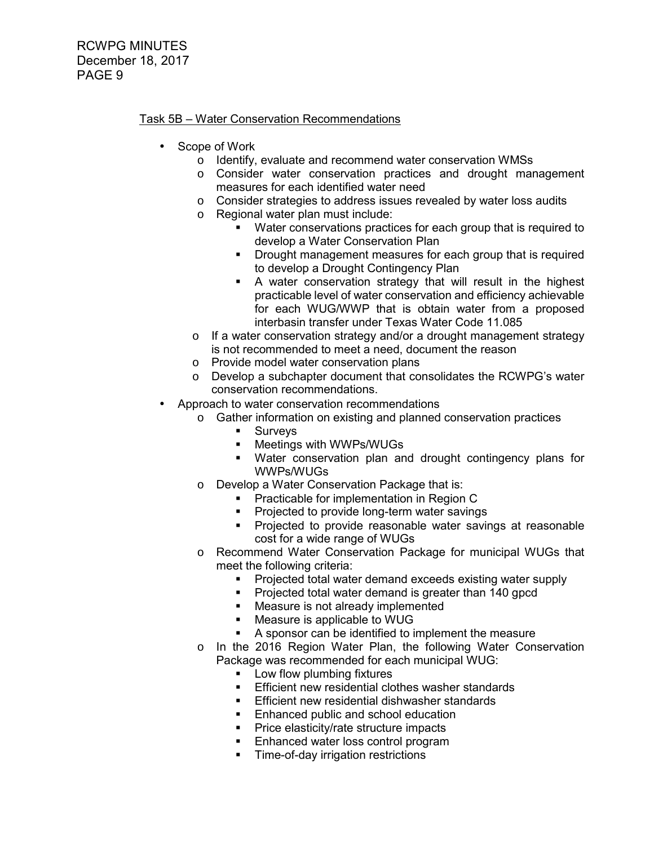## Task 5B – Water Conservation Recommendations

- Scope of Work
	- o Identify, evaluate and recommend water conservation WMSs
	- o Consider water conservation practices and drought management measures for each identified water need
	- o Consider strategies to address issues revealed by water loss audits
	- o Regional water plan must include:
		- Water conservations practices for each group that is required to develop a Water Conservation Plan
		- **Drought management measures for each group that is required** to develop a Drought Contingency Plan
		- A water conservation strategy that will result in the highest practicable level of water conservation and efficiency achievable for each WUG/WWP that is obtain water from a proposed interbasin transfer under Texas Water Code 11.085
	- o If a water conservation strategy and/or a drought management strategy is not recommended to meet a need, document the reason
	- o Provide model water conservation plans
	- o Develop a subchapter document that consolidates the RCWPG's water conservation recommendations.
- Approach to water conservation recommendations
	- o Gather information on existing and planned conservation practices
		- **Surveys**
		- **EXECUTE:** Meetings with WWPs/WUGs
		- Water conservation plan and drought contingency plans for WWPs/WUGs
	- o Develop a Water Conservation Package that is:
		- **Practicable for implementation in Region C**
		- **Projected to provide long-term water savings**
		- **Projected to provide reasonable water savings at reasonable** cost for a wide range of WUGs
	- o Recommend Water Conservation Package for municipal WUGs that meet the following criteria:
		- Projected total water demand exceeds existing water supply
		- **Projected total water demand is greater than 140 gpcd**
		- **Measure is not already implemented**
		- Measure is applicable to WUG
		- A sponsor can be identified to implement the measure
	- o In the 2016 Region Water Plan, the following Water Conservation Package was recommended for each municipal WUG:
		- **-** Low flow plumbing fixtures
		- **Efficient new residential clothes washer standards**
		- **Efficient new residential dishwasher standards**
		- **Enhanced public and school education**
		- **Price elasticity/rate structure impacts**
		- **Enhanced water loss control program**
		- **Time-of-day irrigation restrictions**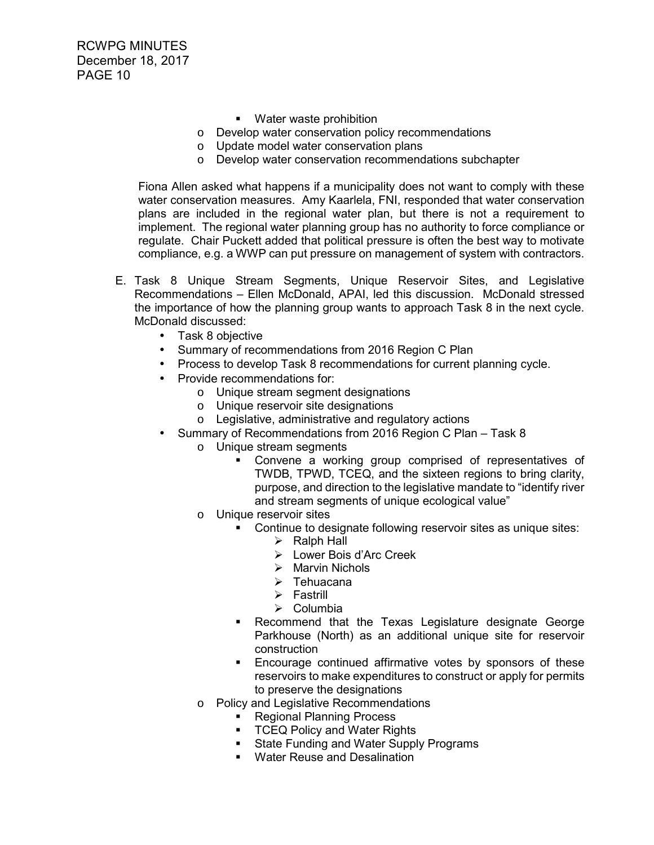- **Water waste prohibition**
- o Develop water conservation policy recommendations
- o Update model water conservation plans
- o Develop water conservation recommendations subchapter

 Fiona Allen asked what happens if a municipality does not want to comply with these water conservation measures. Amy Kaarlela, FNI, responded that water conservation plans are included in the regional water plan, but there is not a requirement to implement. The regional water planning group has no authority to force compliance or regulate. Chair Puckett added that political pressure is often the best way to motivate compliance, e.g. a WWP can put pressure on management of system with contractors.

- E. Task 8 Unique Stream Segments, Unique Reservoir Sites, and Legislative Recommendations – Ellen McDonald, APAI, led this discussion. McDonald stressed the importance of how the planning group wants to approach Task 8 in the next cycle. McDonald discussed:
	- Task 8 objective
	- Summary of recommendations from 2016 Region C Plan
	- Process to develop Task 8 recommendations for current planning cycle.
	- Provide recommendations for:
		- o Unique stream segment designations
		- o Unique reservoir site designations
		- o Legislative, administrative and regulatory actions
	- Summary of Recommendations from 2016 Region C Plan Task 8
		- o Unique stream segments
			- Convene a working group comprised of representatives of TWDB, TPWD, TCEQ, and the sixteen regions to bring clarity, purpose, and direction to the legislative mandate to "identify river and stream segments of unique ecological value"
		- o Unique reservoir sites
			- Continue to designate following reservoir sites as unique sites:
				- $\triangleright$  Ralph Hall
					- Lower Bois d'Arc Creek
					- > Marvin Nichols
					- > Tehuacana
				- > Fastrill
				- > Columbia
			- **Recommend that the Texas Legislature designate George** Parkhouse (North) as an additional unique site for reservoir construction
			- **Encourage continued affirmative votes by sponsors of these** reservoirs to make expenditures to construct or apply for permits to preserve the designations
		- o Policy and Legislative Recommendations
			- **Regional Planning Process** 
				- **TCEQ Policy and Water Rights**
				- **State Funding and Water Supply Programs**
				- **Water Reuse and Desalination**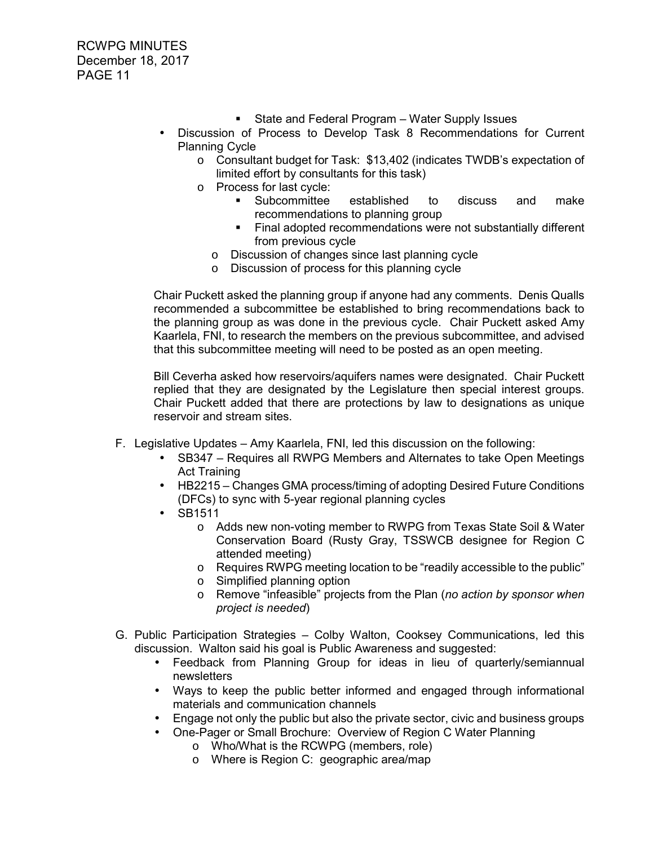- **State and Federal Program Water Supply Issues**
- Discussion of Process to Develop Task 8 Recommendations for Current Planning Cycle
	- o Consultant budget for Task: \$13,402 (indicates TWDB's expectation of limited effort by consultants for this task)
	- o Process for last cycle:
		- Subcommittee established to discuss and make recommendations to planning group
		- Final adopted recommendations were not substantially different from previous cycle
		- o Discussion of changes since last planning cycle
		- o Discussion of process for this planning cycle

Chair Puckett asked the planning group if anyone had any comments. Denis Qualls recommended a subcommittee be established to bring recommendations back to the planning group as was done in the previous cycle. Chair Puckett asked Amy Kaarlela, FNI, to research the members on the previous subcommittee, and advised that this subcommittee meeting will need to be posted as an open meeting.

Bill Ceverha asked how reservoirs/aquifers names were designated. Chair Puckett replied that they are designated by the Legislature then special interest groups. Chair Puckett added that there are protections by law to designations as unique reservoir and stream sites.

- F. Legislative Updates Amy Kaarlela, FNI, led this discussion on the following:
	- SB347 Requires all RWPG Members and Alternates to take Open Meetings Act Training
	- HB2215 Changes GMA process/timing of adopting Desired Future Conditions (DFCs) to sync with 5-year regional planning cycles
	- SB1511
		- o Adds new non-voting member to RWPG from Texas State Soil & Water Conservation Board (Rusty Gray, TSSWCB designee for Region C attended meeting)
		- o Requires RWPG meeting location to be "readily accessible to the public"
		- o Simplified planning option
		- o Remove "infeasible" projects from the Plan (*no action by sponsor when project is needed*)
- G. Public Participation Strategies Colby Walton, Cooksey Communications, led this discussion. Walton said his goal is Public Awareness and suggested:
	- Feedback from Planning Group for ideas in lieu of quarterly/semiannual newsletters
	- Ways to keep the public better informed and engaged through informational materials and communication channels
	- Engage not only the public but also the private sector, civic and business groups
	- One-Pager or Small Brochure: Overview of Region C Water Planning
		- o Who/What is the RCWPG (members, role)
		- o Where is Region C: geographic area/map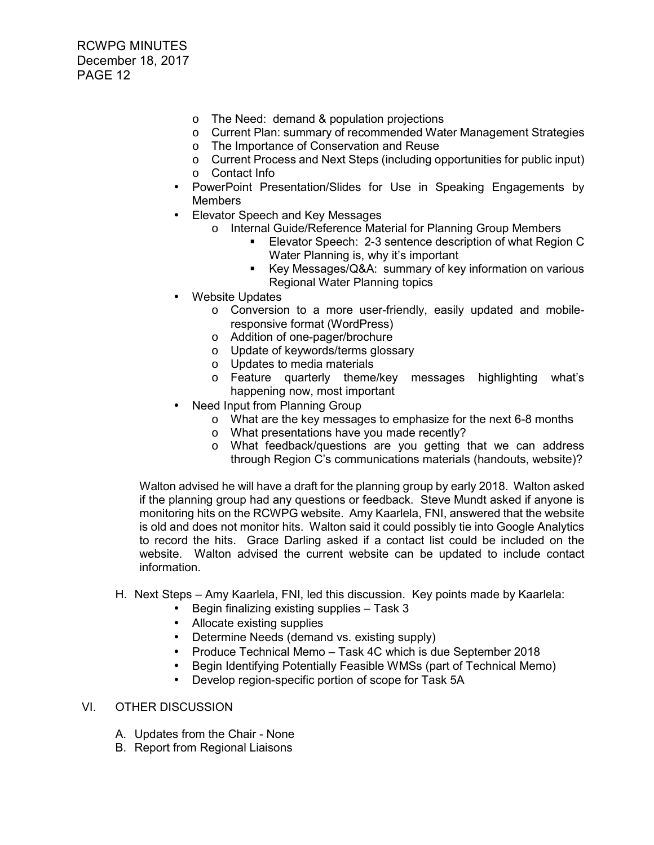- o The Need: demand & population projections
- o Current Plan: summary of recommended Water Management Strategies
- o The Importance of Conservation and Reuse
- o Current Process and Next Steps (including opportunities for public input)
- o Contact Info
- PowerPoint Presentation/Slides for Use in Speaking Engagements by **Members**
- Elevator Speech and Key Messages
	- o Internal Guide/Reference Material for Planning Group Members
		- Elevator Speech: 2-3 sentence description of what Region C Water Planning is, why it's important
		- Key Messages/Q&A: summary of key information on various Regional Water Planning topics
- Website Updates
	- o Conversion to a more user-friendly, easily updated and mobileresponsive format (WordPress)
	- o Addition of one-pager/brochure
	- o Update of keywords/terms glossary
	- o Updates to media materials
	- o Feature quarterly theme/key messages highlighting what's happening now, most important
- Need Input from Planning Group
	- o What are the key messages to emphasize for the next 6-8 months
		- o What presentations have you made recently?
		- o What feedback/questions are you getting that we can address through Region C's communications materials (handouts, website)?

Walton advised he will have a draft for the planning group by early 2018. Walton asked if the planning group had any questions or feedback. Steve Mundt asked if anyone is monitoring hits on the RCWPG website. Amy Kaarlela, FNI, answered that the website is old and does not monitor hits. Walton said it could possibly tie into Google Analytics to record the hits. Grace Darling asked if a contact list could be included on the website. Walton advised the current website can be updated to include contact information.

- H. Next Steps Amy Kaarlela, FNI, led this discussion. Key points made by Kaarlela:
	- Begin finalizing existing supplies Task 3
	- Allocate existing supplies
	- Determine Needs (demand vs. existing supply)
	- Produce Technical Memo Task 4C which is due September 2018
	- Begin Identifying Potentially Feasible WMSs (part of Technical Memo)
	- Develop region-specific portion of scope for Task 5A

# VI. OTHER DISCUSSION

- A. Updates from the Chair None
- B. Report from Regional Liaisons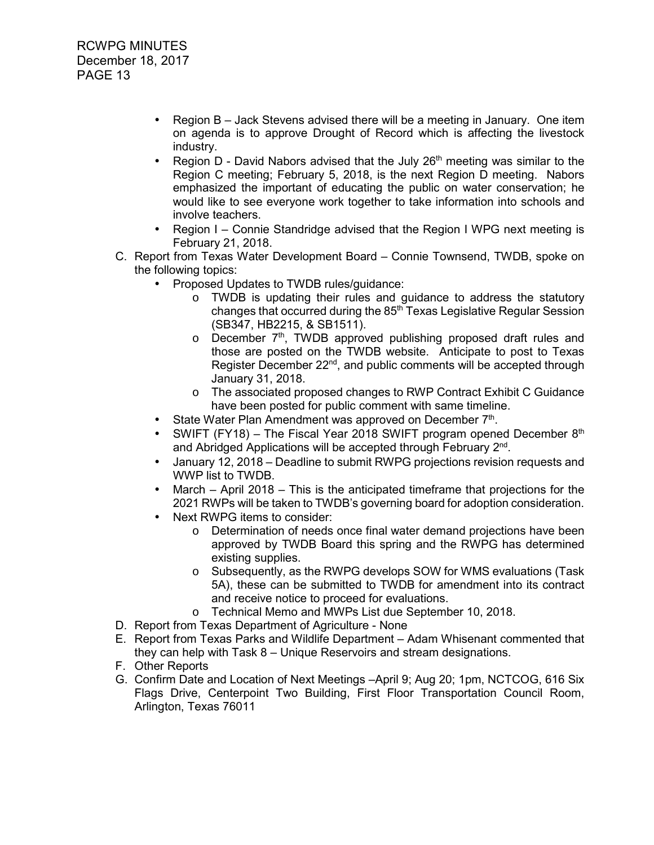- Region B Jack Stevens advised there will be a meeting in January. One item on agenda is to approve Drought of Record which is affecting the livestock industry.
- Region D David Nabors advised that the July  $26<sup>th</sup>$  meeting was similar to the Region C meeting; February 5, 2018, is the next Region D meeting. Nabors emphasized the important of educating the public on water conservation; he would like to see everyone work together to take information into schools and involve teachers.
- Region I Connie Standridge advised that the Region I WPG next meeting is February 21, 2018.
- C. Report from Texas Water Development Board Connie Townsend, TWDB, spoke on the following topics:
	- Proposed Updates to TWDB rules/guidance:
		- o TWDB is updating their rules and guidance to address the statutory changes that occurred during the 85<sup>th</sup> Texas Legislative Regular Session (SB347, HB2215, & SB1511).
		- $\circ$  December  $7<sup>th</sup>$ , TWDB approved publishing proposed draft rules and those are posted on the TWDB website. Anticipate to post to Texas Register December 22<sup>nd</sup>, and public comments will be accepted through January 31, 2018.
		- o The associated proposed changes to RWP Contract Exhibit C Guidance have been posted for public comment with same timeline.
	- State Water Plan Amendment was approved on December  $7<sup>th</sup>$ .
	- SWIFT (FY18) The Fiscal Year 2018 SWIFT program opened December  $8<sup>th</sup>$ and Abridged Applications will be accepted through February 2<sup>nd</sup>.
	- January 12, 2018 Deadline to submit RWPG projections revision requests and WWP list to TWDB.
	- March  $-$  April 2018  $-$  This is the anticipated time frame that projections for the 2021 RWPs will be taken to TWDB's governing board for adoption consideration.
	- Next RWPG items to consider:
		- o Determination of needs once final water demand projections have been approved by TWDB Board this spring and the RWPG has determined existing supplies.
		- o Subsequently, as the RWPG develops SOW for WMS evaluations (Task 5A), these can be submitted to TWDB for amendment into its contract and receive notice to proceed for evaluations.
		- o Technical Memo and MWPs List due September 10, 2018.
- D. Report from Texas Department of Agriculture None
- E. Report from Texas Parks and Wildlife Department Adam Whisenant commented that they can help with Task 8 – Unique Reservoirs and stream designations.
- F. Other Reports
- G. Confirm Date and Location of Next Meetings –April 9; Aug 20; 1pm, NCTCOG, 616 Six Flags Drive, Centerpoint Two Building, First Floor Transportation Council Room, Arlington, Texas 76011